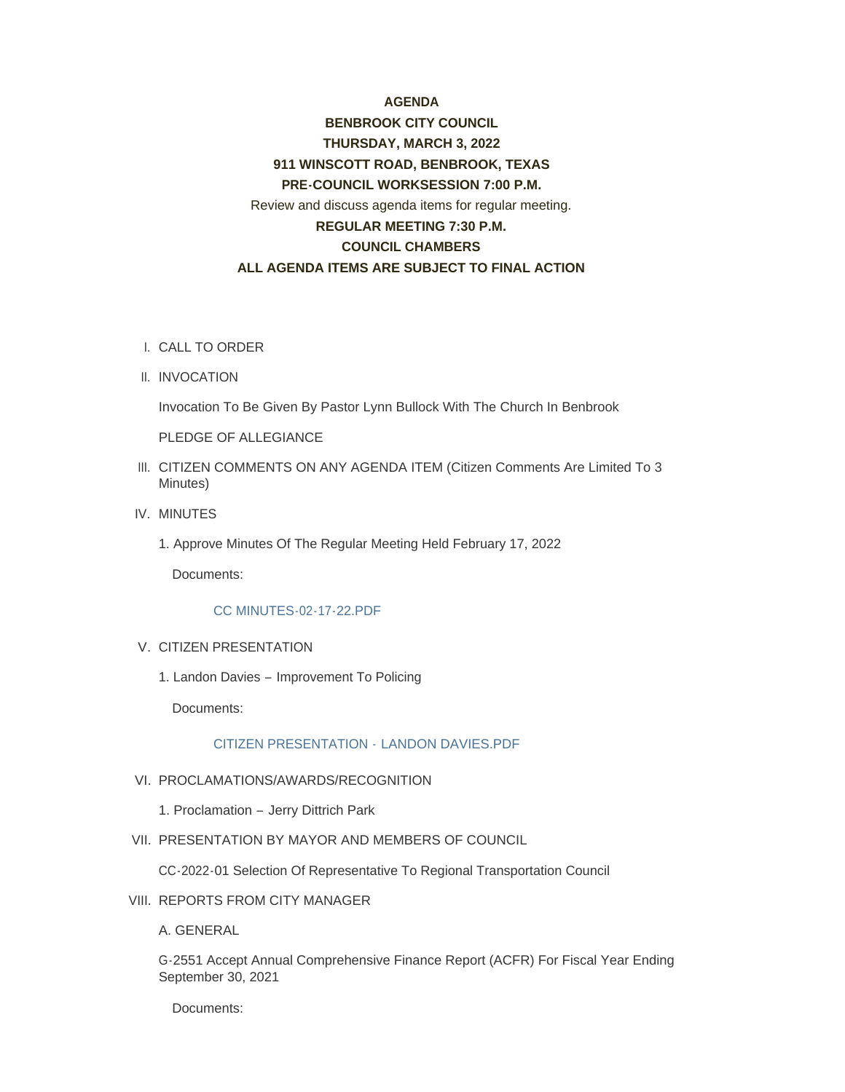# **AGENDA BENBROOK CITY COUNCIL THURSDAY, MARCH 3, 2022 911 WINSCOTT ROAD, BENBROOK, TEXAS PRE-COUNCIL WORKSESSION 7:00 P.M.** Review and discuss agenda items for regular meeting. **REGULAR MEETING 7:30 P.M. COUNCIL CHAMBERS ALL AGENDA ITEMS ARE SUBJECT TO FINAL ACTION**

- CALL TO ORDER I.
- II. INVOCATION

Invocation To Be Given By Pastor Lynn Bullock With The Church In Benbrook

PLEDGE OF ALLEGIANCE

- III. CITIZEN COMMENTS ON ANY AGENDA ITEM (Citizen Comments Are Limited To 3 Minutes)
- IV. MINUTES
	- 1. Approve Minutes Of The Regular Meeting Held February 17, 2022

Documents:

# [CC MINUTES-02-17-22.PDF](http://www.benbrook-tx.gov/AgendaCenter/ViewFile/Item/6572?fileID=5049)

## V. CITIZEN PRESENTATION

1. Landon Davies – Improvement To Policing

Documents:

# [CITIZEN PRESENTATION -](http://www.benbrook-tx.gov/AgendaCenter/ViewFile/Item/6573?fileID=5050) LANDON DAVIES.PDF

- VI. PROCLAMATIONS/AWARDS/RECOGNITION
	- 1. Proclamation Jerry Dittrich Park
- VII. PRESENTATION BY MAYOR AND MEMBERS OF COUNCIL

CC-2022-01 Selection Of Representative To Regional Transportation Council

VIII. REPORTS FROM CITY MANAGER

A. GENERAL

G-2551 Accept Annual Comprehensive Finance Report (ACFR) For Fiscal Year Ending September 30, 2021

Documents: